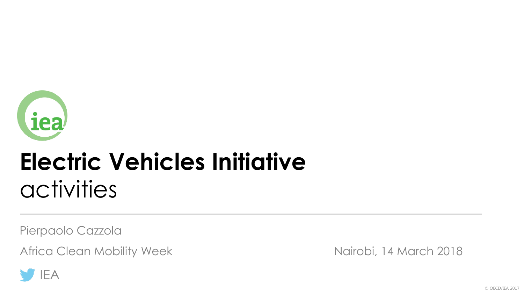

# **Electric Vehicles Initiative** activities

Pierpaolo Cazzola

Africa Clean Mobility Week Nairobi, 14 March 2018



© OECD/IEA 2017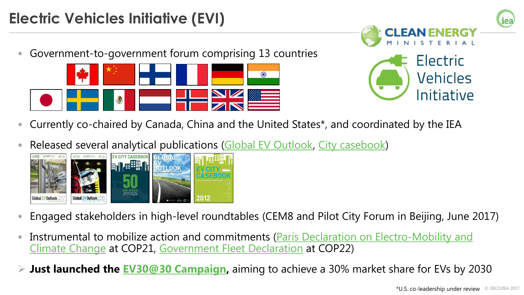## **Electric Vehicles Initiative (EVI)**

• Government-to-government forum comprising 13 countries





(iea

- Currently co-chaired by Canada, China and the United States\*, and coordinated by the IEA
- Released several analytical publications [\(Global EV Outlook](https://www.iea.org/publications/freepublications/publication/GlobalEVOutlook2017.pdf), [City casebook\)](http://www.cleanenergyministerial.org/Portals/2/pdfs/EVI_2014_EV-City-Casebook.pdf)



- Engaged stakeholders in high-level roundtables (CEM8 and Pilot City Forum in Beijing, June 2017)
- Instrumental to mobilize action and commitments (Paris Declaration on Electro-Mobility and Climate Change at COP21, [Government Fleet Declaration](https://www.iea.org/media/topics/transport/EVI_Government_Fleet_Declaration.pdf) at COP22)
- **Just launched the [EV30@30 Campaign,](http://www.cleanenergyministerial.org/Our-Work/CEM-Campaigns/EV30at30)** aiming to achieve a 30% market share for EVs by 2030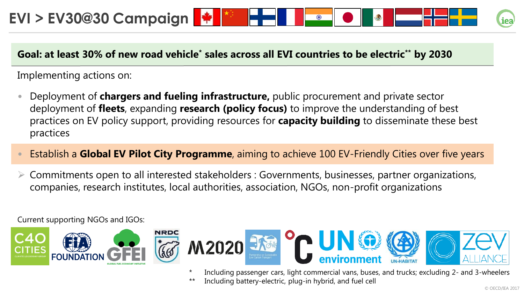

### **Goal: at least 30% of new road vehicle\* sales across all EVI countries to be electric\*\* by 2030**

Implementing actions on:

- Deployment of **chargers and fueling infrastructure,** public procurement and private sector deployment of **fleets**, expanding **research (policy focus)** to improve the understanding of best practices on EV policy support, providing resources for **capacity building** to disseminate these best practices
- Establish a **Global EV Pilot City Programme**, aiming to achieve 100 EV-Friendly Cities over five years
- Commitments open to all interested stakeholders : Governments, businesses, partner organizations, companies, research institutes, local authorities, association, NGOs, non-profit organizations

Current supporting NGOs and IGOs:





Including passenger cars, light commercial vans, buses, and trucks; excluding 2- and 3-wheelers Including battery-electric, plug-in hybrid, and fuel cell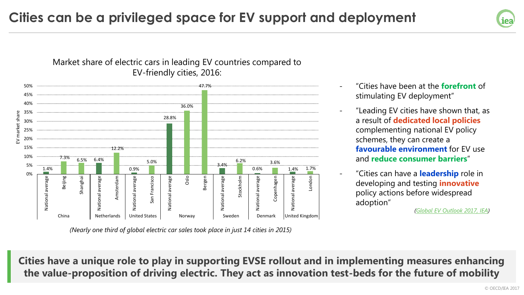

#### Market share of electric cars in leading EV countries compared to EV-friendly cities, 2016:



*(Nearly one third of global electric car sales took place in just 14 cities in 2015)*

- "Cities have been at the **forefront** of stimulating EV deployment"
- "Leading EV cities have shown that, as a result of **dedicated local policies**  complementing national EV policy schemes, they can create a **favourable environment** for EV use and **reduce consumer barriers**"
- "Cities can have a **leadership** role in developing and testing **innovative** policy actions before widespread adoption"

*([Global EV Outlook 2017, IEA\)](https://www.iea.org/publications/freepublications/publication/GlobalEVOutlook2017.pdf)*

**Cities have a unique role to play in supporting EVSE rollout and in implementing measures enhancing the value-proposition of driving electric. They act as innovation test-beds for the future of mobility**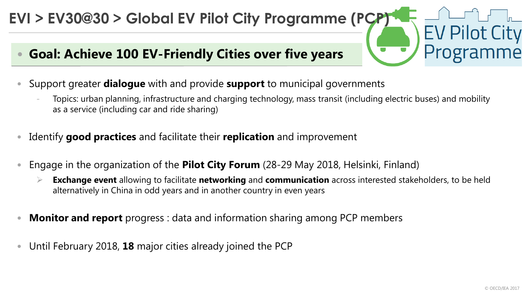### **EVI > EV30@30 > Global EV Pilot City Programme (PCP)**

- **Goal: Achieve 100 EV-Friendly Cities over five years**
- Support greater **dialogue** with and provide **support** to municipal governments
	- Topics: urban planning, infrastructure and charging technology, mass transit (including electric buses) and mobility as a service (including car and ride sharing)
- Identify **good practices** and facilitate their **replication** and improvement
- Engage in the organization of the **Pilot City Forum** (28-29 May 2018, Helsinki, Finland)
	- **Exchange event** allowing to facilitate **networking** and **communication** across interested stakeholders, to be held alternatively in China in odd years and in another country in even years
- **Monitor and report** progress : data and information sharing among PCP members
- Until February 2018, **18** major cities already joined the PCP

**EV Pilot City<br>Programme**